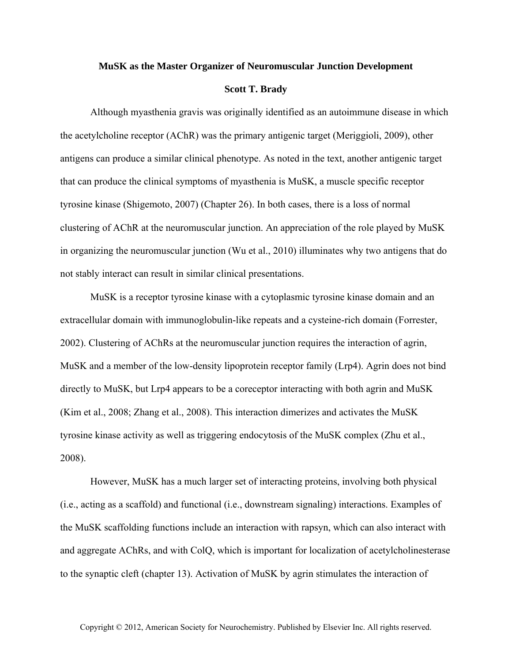## **MuSK as the Master Organizer of Neuromuscular Junction Development**

## **Scott T. Brady**

Although myasthenia gravis was originally identified as an autoimmune disease in which the acetylcholine receptor (AChR) was the primary antigenic target (Meriggioli, 2009), other antigens can produce a similar clinical phenotype. As noted in the text, another antigenic target that can produce the clinical symptoms of myasthenia is MuSK, a muscle specific receptor tyrosine kinase (Shigemoto, 2007) (Chapter 26). In both cases, there is a loss of normal clustering of AChR at the neuromuscular junction. An appreciation of the role played by MuSK in organizing the neuromuscular junction (Wu et al., 2010) illuminates why two antigens that do not stably interact can result in similar clinical presentations.

MuSK is a receptor tyrosine kinase with a cytoplasmic tyrosine kinase domain and an extracellular domain with immunoglobulin-like repeats and a cysteine-rich domain (Forrester, 2002). Clustering of AChRs at the neuromuscular junction requires the interaction of agrin, MuSK and a member of the low-density lipoprotein receptor family (Lrp4). Agrin does not bind directly to MuSK, but Lrp4 appears to be a coreceptor interacting with both agrin and MuSK (Kim et al., 2008; Zhang et al., 2008). This interaction dimerizes and activates the MuSK tyrosine kinase activity as well as triggering endocytosis of the MuSK complex (Zhu et al., 2008).

However, MuSK has a much larger set of interacting proteins, involving both physical (i.e., acting as a scaffold) and functional (i.e., downstream signaling) interactions. Examples of the MuSK scaffolding functions include an interaction with rapsyn, which can also interact with and aggregate AChRs, and with ColQ, which is important for localization of acetylcholinesterase to the synaptic cleft (chapter 13). Activation of MuSK by agrin stimulates the interaction of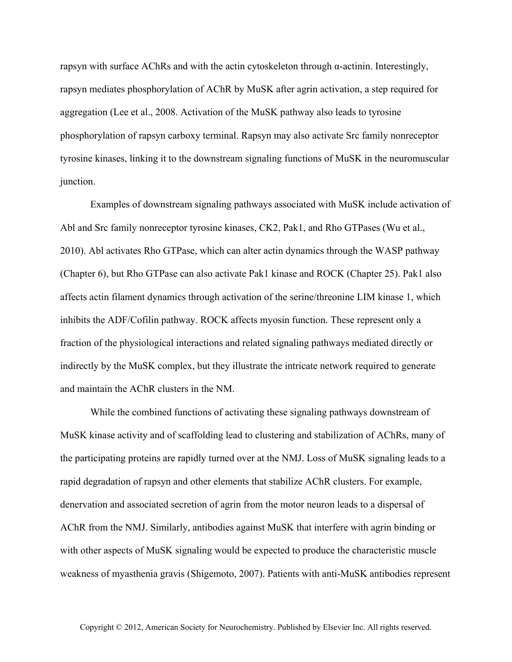rapsyn with surface AChRs and with the actin cytoskeleton through α-actinin. Interestingly, rapsyn mediates phosphorylation of AChR by MuSK after agrin activation, a step required for aggregation (Lee et al., 2008. Activation of the MuSK pathway also leads to tyrosine phosphorylation of rapsyn carboxy terminal. Rapsyn may also activate Src family nonreceptor tyrosine kinases, linking it to the downstream signaling functions of MuSK in the neuromuscular junction.

Examples of downstream signaling pathways associated with MuSK include activation of Abl and Src family nonreceptor tyrosine kinases, CK2, Pak1, and Rho GTPases (Wu et al., 2010). Abl activates Rho GTPase, which can alter actin dynamics through the WASP pathway (Chapter 6), but Rho GTPase can also activate Pak1 kinase and ROCK (Chapter 25). Pak1 also affects actin filament dynamics through activation of the serine/threonine LIM kinase 1, which inhibits the ADF/Cofilin pathway. ROCK affects myosin function. These represent only a fraction of the physiological interactions and related signaling pathways mediated directly or indirectly by the MuSK complex, but they illustrate the intricate network required to generate and maintain the AChR clusters in the NM.

While the combined functions of activating these signaling pathways downstream of MuSK kinase activity and of scaffolding lead to clustering and stabilization of AChRs, many of the participating proteins are rapidly turned over at the NMJ. Loss of MuSK signaling leads to a rapid degradation of rapsyn and other elements that stabilize AChR clusters. For example, denervation and associated secretion of agrin from the motor neuron leads to a dispersal of AChR from the NMJ. Similarly, antibodies against MuSK that interfere with agrin binding or with other aspects of MuSK signaling would be expected to produce the characteristic muscle weakness of myasthenia gravis (Shigemoto, 2007). Patients with anti-MuSK antibodies represent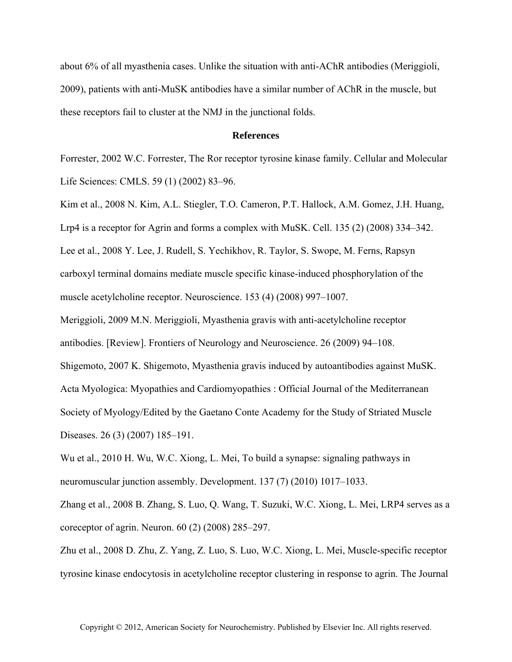about 6% of all myasthenia cases. Unlike the situation with anti-AChR antibodies (Meriggioli, 2009), patients with anti-MuSK antibodies have a similar number of AChR in the muscle, but these receptors fail to cluster at the NMJ in the junctional folds.

## **References**

Forrester, 2002 W.C. Forrester, The Ror receptor tyrosine kinase family. Cellular and Molecular Life Sciences: CMLS. 59 (1) (2002) 83–96.

Kim et al., 2008 N. Kim, A.L. Stiegler, T.O. Cameron, P.T. Hallock, A.M. Gomez, J.H. Huang, Lrp4 is a receptor for Agrin and forms a complex with MuSK. Cell. 135 (2) (2008) 334–342. Lee et al., 2008 Y. Lee, J. Rudell, S. Yechikhov, R. Taylor, S. Swope, M. Ferns, Rapsyn carboxyl terminal domains mediate muscle specific kinase-induced phosphorylation of the muscle acetylcholine receptor. Neuroscience. 153 (4) (2008) 997–1007.

Meriggioli, 2009 M.N. Meriggioli, Myasthenia gravis with anti-acetylcholine receptor

antibodies. [Review]. Frontiers of Neurology and Neuroscience. 26 (2009) 94–108.

Shigemoto, 2007 K. Shigemoto, Myasthenia gravis induced by autoantibodies against MuSK. Acta Myologica: Myopathies and Cardiomyopathies : Official Journal of the Mediterranean Society of Myology/Edited by the Gaetano Conte Academy for the Study of Striated Muscle Diseases. 26 (3) (2007) 185–191.

Wu et al., 2010 H. Wu, W.C. Xiong, L. Mei, To build a synapse: signaling pathways in neuromuscular junction assembly. Development. 137 (7) (2010) 1017–1033.

Zhang et al., 2008 B. Zhang, S. Luo, Q. Wang, T. Suzuki, W.C. Xiong, L. Mei, LRP4 serves as a coreceptor of agrin. Neuron. 60 (2) (2008) 285–297.

Zhu et al., 2008 D. Zhu, Z. Yang, Z. Luo, S. Luo, W.C. Xiong, L. Mei, Muscle-specific receptor tyrosine kinase endocytosis in acetylcholine receptor clustering in response to agrin. The Journal